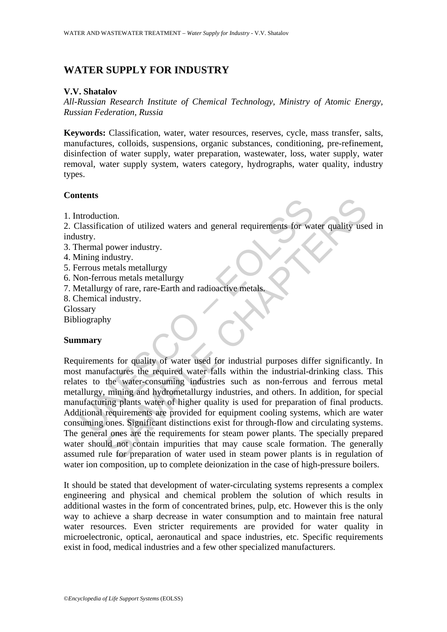# **WATER SUPPLY FOR INDUSTRY**

#### **V.V. Shatalov**

*All-Russian Research Institute of Chemical Technology, Ministry of Atomic Energy, Russian Federation, Russia* 

**Keywords:** Classification, water, water resources, reserves, cycle, mass transfer, salts, manufactures, colloids, suspensions, organic substances, conditioning, pre-refinement, disinfection of water supply, water preparation, wastewater, loss, water supply, water removal, water supply system, waters category, hydrographs, water quality, industry types.

### **Contents**

1. Introduction.

2. Classification of utilized waters and general requirements for water quality used in industry.

- 3. Thermal power industry.
- 4. Mining industry.
- 5. Ferrous metals metallurgy
- 6. Non-ferrous metals metallurgy
- 7. Metallurgy of rare, rare-Earth and radioactive metals.
- 8. Chemical industry.
- Glossary
- Bibliography

### **Summary**

The<br>many distinction of utilized waters and general requirements for was<br>stry.<br>Iming industry.<br>Iming industry.<br>Iming industry.<br>The standard metallurgy<br>of on-ferrous metals metallurgy<br>for-ferrous metals metallurgy<br>for-ferro tion.<br>
ion.<br>
ion.<br>
ion.<br>
ion.<br>
ion.<br>
ion.<br>
ion.<br>
ion.<br>
ion.<br>
ion.<br>
ion.<br>
ion.<br>
ion.<br>
ion.<br>
ion.<br>
ion.<br>
ion.<br>
ion.<br>
ion.<br>
ion.<br>
ion.<br>
ion.<br>
ion.<br>
ion.<br>
ion.<br>
ion.<br>
ion.<br>
ion.<br>
ion.<br>
ion.<br>
ion.<br>
ion.<br>
ion.<br>
ion.<br>
ion.<br>
ion.<br> Requirements for quality of water used for industrial purposes differ significantly. In most manufactures the required water falls within the industrial-drinking class. This relates to the water-consuming industries such as non-ferrous and ferrous metal metallurgy, mining and hydrometallurgy industries, and others. In addition, for special manufacturing plants water of higher quality is used for preparation of final products. Additional requirements are provided for equipment cooling systems, which are water consuming ones. Significant distinctions exist for through-flow and circulating systems. The general ones are the requirements for steam power plants. The specially prepared water should not contain impurities that may cause scale formation. The generally assumed rule for preparation of water used in steam power plants is in regulation of water ion composition, up to complete deionization in the case of high-pressure boilers.

It should be stated that development of water-circulating systems represents a complex engineering and physical and chemical problem the solution of which results in additional wastes in the form of concentrated brines, pulp, etc. However this is the only way to achieve a sharp decrease in water consumption and to maintain free natural water resources. Even stricter requirements are provided for water quality in microelectronic, optical, aeronautical and space industries, etc. Specific requirements exist in food, medical industries and a few other specialized manufacturers.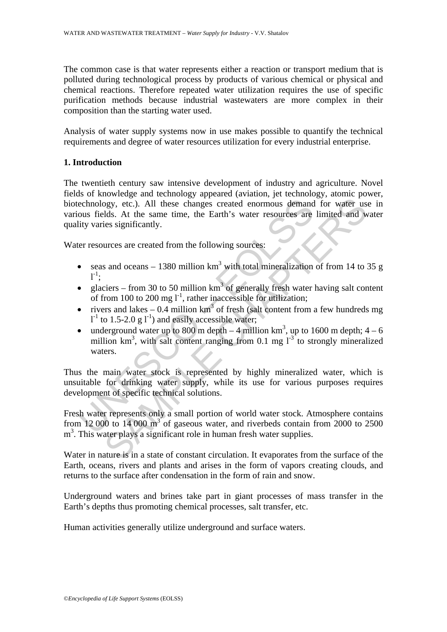The common case is that water represents either a reaction or transport medium that is polluted during technological process by products of various chemical or physical and chemical reactions. Therefore repeated water utilization requires the use of specific purification methods because industrial wastewaters are more complex in their composition than the starting water used.

Analysis of water supply systems now in use makes possible to quantify the technical requirements and degree of water resources utilization for every industrial enterprise.

## **1. Introduction**

echnology, etc.). All these changes created enormous demand<br>ous fields. At the same time, the Earth's water resources are<br>tity varies significantly.<br>
er resources are created from the following sources:<br>
• seas and oceans by, etc.). All these changes created enormous demand for water useds. At the same time, the Echanges created enormous demand for water useds. At the same time, the Earth's water resources are limited and wise significantl The twentieth century saw intensive development of industry and agriculture. Novel fields of knowledge and technology appeared (aviation, jet technology, atomic power, biotechnology, etc.). All these changes created enormous demand for water use in various fields. At the same time, the Earth's water resources are limited and water quality varies significantly.

Water resources are created from the following sources:

- seas and oceans 1380 million  $km^3$  with total mineralization of from 14 to 35 g  $1^{-1}$ ;
- glaciers from 30 to 50 million  $km<sup>3</sup>$  of generally fresh water having salt content of from 100 to 200 mg  $1^{-1}$ , rather inaccessible for utilization;
- rivers and lakes 0.4 million  $km^3$  of fresh (salt content from a few hundreds mg  $l^{-1}$  to 1.5-2.0 g  $l^{-1}$ ) and easily accessible water;
- underground water up to 800 m depth  $-4$  million km<sup>3</sup>, up to 1600 m depth;  $4-6$ million  $km^3$ , with salt content ranging from 0.1 mg  $1^{-3}$  to strongly mineralized waters.

Thus the main water stock is represented by highly mineralized water, which is unsuitable for drinking water supply, while its use for various purposes requires development of specific technical solutions.

Fresh water represents only a small portion of world water stock. Atmosphere contains from 12 000 to 14 000  $m^3$  of gaseous water, and riverbeds contain from 2000 to 2500  $m<sup>3</sup>$ . This water plays a significant role in human fresh water supplies.

Water in nature is in a state of constant circulation. It evaporates from the surface of the Earth, oceans, rivers and plants and arises in the form of vapors creating clouds, and returns to the surface after condensation in the form of rain and snow.

Underground waters and brines take part in giant processes of mass transfer in the Earth's depths thus promoting chemical processes, salt transfer, etc.

Human activities generally utilize underground and surface waters.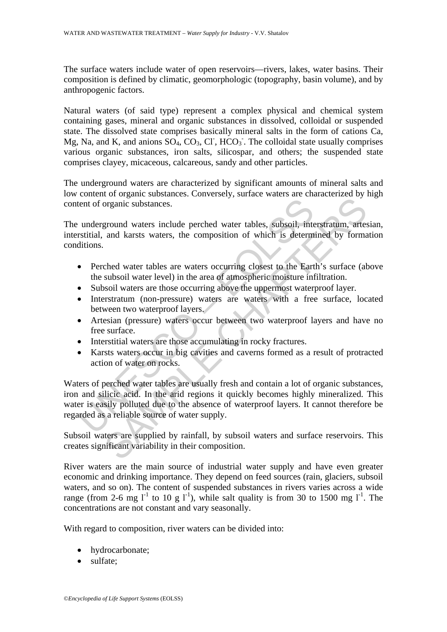The surface waters include water of open reservoirs—rivers, lakes, water basins. Their composition is defined by climatic, geomorphologic (topography, basin volume), and by anthropogenic factors.

Natural waters (of said type) represent a complex physical and chemical system containing gases, mineral and organic substances in dissolved, colloidal or suspended state. The dissolved state comprises basically mineral salts in the form of cations Ca, Mg, Na, and K, and anions  $SO_4$ ,  $CO_3$ ,  $Cl$ ,  $HCO_3$ . The colloidal state usually comprises various organic substances, iron salts, silicospar, and others; the suspended state comprises clayey, micaceous, calcareous, sandy and other particles.

The underground waters are characterized by significant amounts of mineral salts and low content of organic substances. Conversely, surface waters are characterized by high content of organic substances.

The underground waters include perched water tables, subsoil, interstratum, artesian, interstitial, and karsts waters, the composition of which is determined by formation conditions.

- Perched water tables are waters occurring closest to the Earth's surface (above the subsoil water level) in the area of atmospheric moisture infiltration.
- Subsoil waters are those occurring above the uppermost waterproof layer.
- Interstratum (non-pressure) waters are waters with a free surface, located between two waterproof layers.
- Artesian (pressure) waters occur between two waterproof layers and have no free surface.
- Interstitial waters are those accumulating in rocky fractures.
- Karsts waters occur in big cavities and caverns formed as a result of protracted action of water on rocks.

Interaction of organic substances.<br>
Underground waters include perched water tables, subsoil, interstitial, and karsts waters, the composition of which is determinitions.<br>
• Perched water tables are waters occurring closes organic substances.<br>
Eground waters include perched water tables, subsoil, interstratum, artes<br>
and karsts waters, the composition of which is determined by forma<br>
ched water tables are waters occurring closest to the Eart Waters of perched water tables are usually fresh and contain a lot of organic substances, iron and silicic acid. In the arid regions it quickly becomes highly mineralized. This water is easily polluted due to the absence of waterproof layers. It cannot therefore be regarded as a reliable source of water supply.

Subsoil waters are supplied by rainfall, by subsoil waters and surface reservoirs. This creates significant variability in their composition.

River waters are the main source of industrial water supply and have even greater economic and drinking importance. They depend on feed sources (rain, glaciers, subsoil waters, and so on). The content of suspended substances in rivers varies across a wide range (from 2-6 mg  $I<sup>-1</sup>$  to 10 g  $I<sup>-1</sup>$ ), while salt quality is from 30 to 1500 mg  $I<sup>-1</sup>$ . The concentrations are not constant and vary seasonally.

With regard to composition, river waters can be divided into:

- hydrocarbonate;
- sulfate: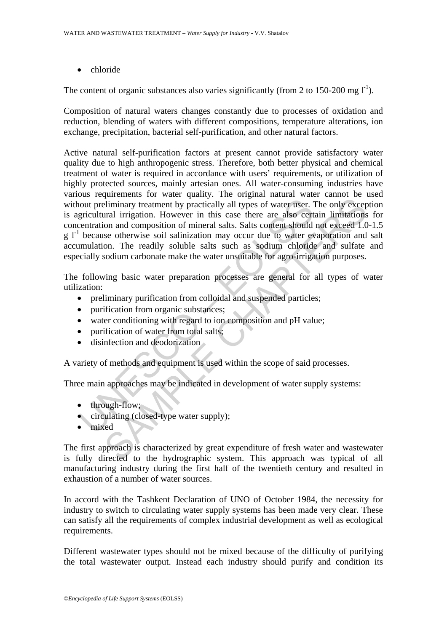• chloride

The content of organic substances also varies significantly (from 2 to 150-200 mg  $I<sup>-1</sup>$ ).

Composition of natural waters changes constantly due to processes of oxidation and reduction, blending of waters with different compositions, temperature alterations, ion exchange, precipitation, bacterial self-purification, and other natural factors.

not preliminary treatment by practically all types of water user. The section and composition. However in this case there are also cert contration and composition of mineral salts. Salts content should because otherwise so experiment to that can demotion and ally the set and the method of miningry treatment by practically all types of water user. The only excepter and composition of minical satts. Salts content should not exceed 1.0 on and c Active natural self-purification factors at present cannot provide satisfactory water quality due to high anthropogenic stress. Therefore, both better physical and chemical treatment of water is required in accordance with users' requirements, or utilization of highly protected sources, mainly artesian ones. All water-consuming industries have various requirements for water quality. The original natural water cannot be used without preliminary treatment by practically all types of water user. The only exception is agricultural irrigation. However in this case there are also certain limitations for concentration and composition of mineral salts. Salts content should not exceed 1.0-1.5  $g<sup>1</sup>$  because otherwise soil salinization may occur due to water evaporation and salt accumulation. The readily soluble salts such as sodium chloride and sulfate and especially sodium carbonate make the water unsuitable for agro-irrigation purposes.

The following basic water preparation processes are general for all types of water utilization:

- preliminary purification from colloidal and suspended particles;
- purification from organic substances;
- water conditioning with regard to ion composition and pH value;
- purification of water from total salts;
- disinfection and deodorization

A variety of methods and equipment is used within the scope of said processes.

Three main approaches may be indicated in development of water supply systems:

- through-flow;
- circulating (closed-type water supply);
- mixed

The first approach is characterized by great expenditure of fresh water and wastewater is fully directed to the hydrographic system. This approach was typical of all manufacturing industry during the first half of the twentieth century and resulted in exhaustion of a number of water sources.

In accord with the Tashkent Declaration of UNO of October 1984, the necessity for industry to switch to circulating water supply systems has been made very clear. These can satisfy all the requirements of complex industrial development as well as ecological requirements.

Different wastewater types should not be mixed because of the difficulty of purifying the total wastewater output. Instead each industry should purify and condition its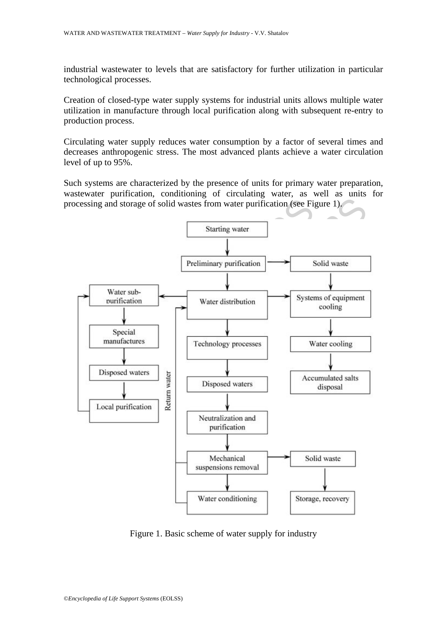industrial wastewater to levels that are satisfactory for further utilization in particular technological processes.

Creation of closed-type water supply systems for industrial units allows multiple water utilization in manufacture through local purification along with subsequent re-entry to production process.

Circulating water supply reduces water consumption by a factor of several times and decreases anthropogenic stress. The most advanced plants achieve a water circulation level of up to 95%.

Such systems are characterized by the presence of units for primary water preparation, wastewater purification, conditioning of circulating water, as well as units for processing and storage of solid wastes from water purification (see Figure 1).



Figure 1. Basic scheme of water supply for industry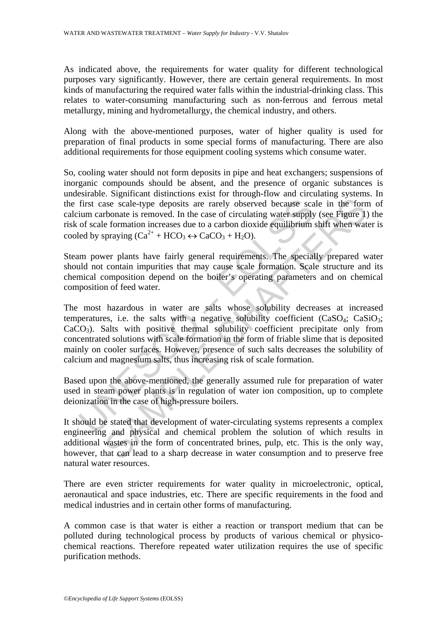As indicated above, the requirements for water quality for different technological purposes vary significantly. However, there are certain general requirements. In most kinds of manufacturing the required water falls within the industrial-drinking class. This relates to water-consuming manufacturing such as non-ferrous and ferrous metal metallurgy, mining and hydrometallurgy, the chemical industry, and others.

Along with the above-mentioned purposes, water of higher quality is used for preparation of final products in some special forms of manufacturing. There are also additional requirements for those equipment cooling systems which consume water.

So, cooling water should not form deposits in pipe and heat exchangers; suspensions of inorganic compounds should be absent, and the presence of organic substances is undesirable. Significant distinctions exist for through-flow and circulating systems. In the first case scale-type deposits are rarely observed because scale in the form of calcium carbonate is removed. In the case of circulating water supply (see Figure 1) the risk of scale formation increases due to a carbon dioxide equilibrium shift when water is cooled by spraying  $(Ca^{2+} + HCO_3 \leftrightarrow CaCO_3 + H_2O)$ .

Steam power plants have fairly general requirements. The specially prepared water should not contain impurities that may cause scale formation. Scale structure and its chemical composition depend on the boiler's operating parameters and on chemical composition of feed water.

first case scale-type deposits are rarely observed because sca<br>ium carbonate is removed. In the case of circulating water supply<br>of scale formation increases due to a carbon dioxide equilibrium<br>led by spraying  $(Ca^{2+} + HCO_$ sase scale-type deposits are rarely observed because scale in the form<br>bronate is removed. In the case of circulating water supply (see Figure 1)<br>e formation increases due to a carbon dioxide equilibrium shift when wat<br>pr The most hazardous in water are salts whose solubility decreases at increased temperatures, i.e. the salts with a negative solubility coefficient  $(CaSO<sub>4</sub>; CaSiO<sub>3</sub>;$  $CaCO<sub>3</sub>$ ). Salts with positive thermal solubility coefficient precipitate only from concentrated solutions with scale formation in the form of friable slime that is deposited mainly on cooler surfaces. However, presence of such salts decreases the solubility of calcium and magnesium salts, thus increasing risk of scale formation.

Based upon the above-mentioned, the generally assumed rule for preparation of water used in steam power plants is in regulation of water ion composition, up to complete deionization in the case of high-pressure boilers.

It should be stated that development of water-circulating systems represents a complex engineering and physical and chemical problem the solution of which results in additional wastes in the form of concentrated brines, pulp, etc. This is the only way, however, that can lead to a sharp decrease in water consumption and to preserve free natural water resources.

There are even stricter requirements for water quality in microelectronic, optical, aeronautical and space industries, etc. There are specific requirements in the food and medical industries and in certain other forms of manufacturing.

A common case is that water is either a reaction or transport medium that can be polluted during technological process by products of various chemical or physicochemical reactions. Therefore repeated water utilization requires the use of specific purification methods.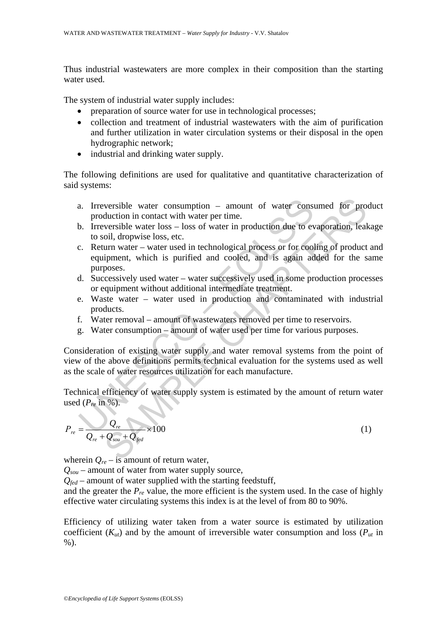Thus industrial wastewaters are more complex in their composition than the starting water used.

The system of industrial water supply includes:

- preparation of source water for use in technological processes;
- collection and treatment of industrial wastewaters with the aim of purification and further utilization in water circulation systems or their disposal in the open hydrographic network;
- industrial and drinking water supply.

The following definitions are used for qualitative and quantitative characterization of said systems:

- a. Irreversible water consumption amount of water consumed for product production in contact with water per time.
- b. Irreversible water loss loss of water in production due to evaporation, leakage to soil, dropwise loss, etc.
- a. Irreversible water consumption amount of water consumption<br>production in contact with water per time.<br>b. Irreversible water loss loss of water in production due to ev<br>to soil, dropwise loss, etc.<br>c. Return water versible water consumption – amount of water consumed for production in contact with water per time.<br>
set-sible water loss – loss of water in production due to evaporation, lead<br>
oil, dropwise loss, etc.<br>
sure uran twater c. Return water – water used in technological process or for cooling of product and equipment, which is purified and cooled, and is again added for the same purposes.
- d. Successively used water water successively used in some production processes or equipment without additional intermediate treatment.
- e. Waste water water used in production and contaminated with industrial products.
- f. Water removal amount of wastewaters removed per time to reservoirs.
- g. Water consumption amount of water used per time for various purposes.

Consideration of existing water supply and water removal systems from the point of view of the above definitions permits technical evaluation for the systems used as well as the scale of water resources utilization for each manufacture.

Technical efficiency of water supply system is estimated by the amount of return water used  $(P_{re}$  in %).

$$
P_{re} = \frac{Q_{re}}{Q_{re} + Q_{sou} + Q_{fed}} \times 100
$$
\n<sup>(1)</sup>

wherein  $Q_{re}$  – is amount of return water,

*Qsou* – amount of water from water supply source,

*Qfed* – amount of water supplied with the starting feedstuff,

and the greater the  $P_{re}$  value, the more efficient is the system used. In the case of highly effective water circulating systems this index is at the level of from 80 to 90%.

Efficiency of utilizing water taken from a water source is estimated by utilization coefficient  $(K_{ut})$  and by the amount of irreversible water consumption and loss  $(P_{ut})$  in  $%$ ).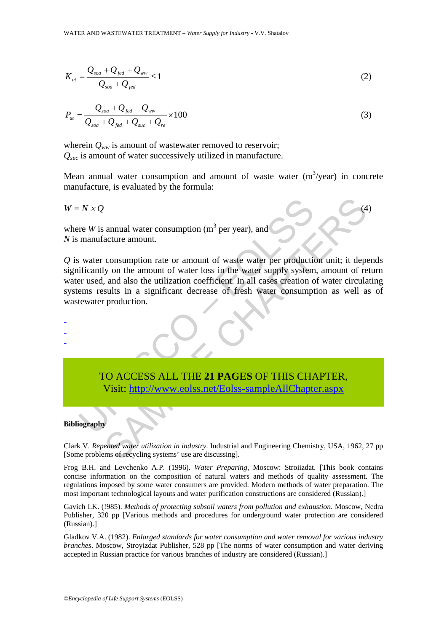$$
K_{ut} = \frac{Q_{soa} + Q_{fed} + Q_{ww}}{Q_{soa} + Q_{fed}} \le 1
$$
\n(2)

$$
P_{ut} = \frac{Q_{soa} + Q_{fed} - Q_{ww}}{Q_{soa} + Q_{fed} + Q_{suc} + Q_{re}} \times 100
$$
\n(3)

wherein  $Q_{ww}$  is amount of wastewater removed to reservoir; *Qsuc* is amount of water successively utilized in manufacture.

Mean annual water consumption and amount of waste water  $(m^3$ /year) in concrete manufacture, is evaluated by the formula:

$$
W = N \times Q \tag{4}
$$

where *W* is annual water consumption ( $m<sup>3</sup>$  per year), and *N* is manufacture amount.

 $N \times Q$ <br>
re *W* is annual water consumption (m<sup>3</sup> per year), and<br>
manufacture amount.<br>
water consumption rate or amount of waste water per production<br>
ificantly on the amount of water loss in the water supply system<br>
re us A annual water consumption (m<sup>3</sup> per year), and acture amount.<br>
Consumption rate or amount of waste water per production unit; it dept<br>
y on the amount of water loss in the water supply system, amount of reaching<br>
such suc *Q* is water consumption rate or amount of waste water per production unit; it depends significantly on the amount of water loss in the water supply system, amount of return water used, and also the utilization coefficient. In all cases creation of water circulating systems results in a significant decrease of fresh water consumption as well as of wastewater production.

TO ACCESS ALL THE **21 PAGES** OF THIS CHAPTER, Visit: http://www.eolss.net/Eolss-sampleAllChapter.aspx

#### **Bibliography**

- - -

Clark V. *Repeated water utilization in industry*. Industrial and Engineering Chemistry, USA, 1962, 27 pp [Some problems of recycling systems' use are discussing].

Frog B.H. and Levchenko A.P. (1996). *Water Preparing*, Moscow: Stroiizdat. [This book contains concise information on the composition of natural waters and methods of quality assessment. The regulations imposed by some water consumers are provided. Modern methods of water preparation. The most important technological layouts and water purification constructions are considered (Russian).]

Gavich I.K. (!985). *Methods of protecting subsoil waters from pollution and exhaustion*. Moscow, Nedra Publisher, 320 pp [Various methods and procedures for underground water protection are considered (Russian).]

Gladkov V.A. (1982). *Enlarged standards for water consumption and water removal for various industry branches*. Moscow, Stroyizdat Publisher, 528 pp [The norms of water consumption and water deriving accepted in Russian practice for various branches of industry are considered (Russian).]